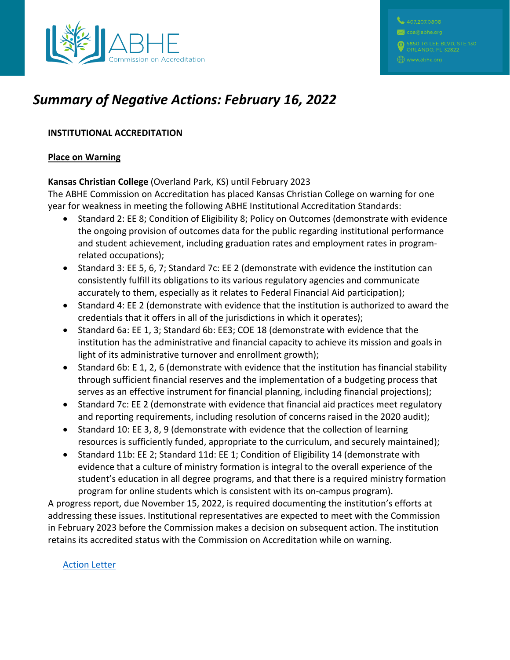

# *Summary of Negative Actions: February 16, 2022*

### **INSTITUTIONAL ACCREDITATION**

#### **Place on Warning**

#### **Kansas Christian College** (Overland Park, KS) until February 2023

The ABHE Commission on Accreditation has placed Kansas Christian College on warning for one year for weakness in meeting the following ABHE Institutional Accreditation Standards:

- Standard 2: EE 8; Condition of Eligibility 8; Policy on Outcomes (demonstrate with evidence the ongoing provision of outcomes data for the public regarding institutional performance and student achievement, including graduation rates and employment rates in programrelated occupations);
- Standard 3: EE 5, 6, 7; Standard 7c: EE 2 (demonstrate with evidence the institution can consistently fulfill its obligations to its various regulatory agencies and communicate accurately to them, especially as it relates to Federal Financial Aid participation);
- Standard 4: EE 2 (demonstrate with evidence that the institution is authorized to award the credentials that it offers in all of the jurisdictions in which it operates);
- Standard 6a: EE 1, 3; Standard 6b: EE3; COE 18 (demonstrate with evidence that the institution has the administrative and financial capacity to achieve its mission and goals in light of its administrative turnover and enrollment growth);
- Standard 6b: E 1, 2, 6 (demonstrate with evidence that the institution has financial stability through sufficient financial reserves and the implementation of a budgeting process that serves as an effective instrument for financial planning, including financial projections);
- Standard 7c: EE 2 (demonstrate with evidence that financial aid practices meet regulatory and reporting requirements, including resolution of concerns raised in the 2020 audit);
- Standard 10: EE 3, 8, 9 (demonstrate with evidence that the collection of learning resources is sufficiently funded, appropriate to the curriculum, and securely maintained);
- Standard 11b: EE 2; Standard 11d: EE 1; Condition of Eligibility 14 (demonstrate with evidence that a culture of ministry formation is integral to the overall experience of the student's education in all degree programs, and that there is a required ministry formation program for online students which is consistent with its on-campus program).

A progress report, due November 15, 2022, is required documenting the institution's efforts at addressing these issues. Institutional representatives are expected to meet with the Commission in February 2023 before the Commission makes a decision on subsequent action. The institution retains its accredited status with the Commission on Accreditation while on warning.

#### [Action Letter](https://www.abhe.org/wp-content/uploads/2022/03/2022.AXN-Kansas-Christian-KS-Warning_Redacted.pdf)